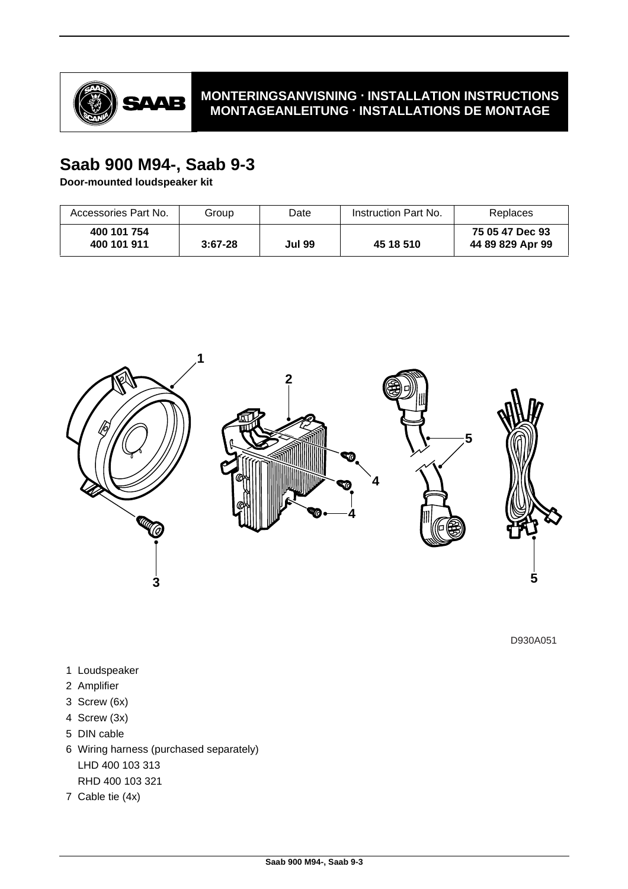

## **MONTERINGSANVISNING · INSTALLATION INSTRUCTIONS MONTAGEANLEITUNG · INSTALLATIONS DE MONTAGE**

# **Saab 900 M94-, Saab 9-3**

**Door-mounted loudspeaker kit**

| Accessories Part No.       | Group     | Date          | Instruction Part No. | Replaces                            |
|----------------------------|-----------|---------------|----------------------|-------------------------------------|
| 400 101 754<br>400 101 911 | $3:67-28$ | <b>Jul 99</b> | 45 18 510            | 75 05 47 Dec 93<br>44 89 829 Apr 99 |



D930A051

- 1 Loudspeaker
- 2 Amplifier
- 3 Screw (6x)
- 4 Screw (3x)
- 5 DIN cable
- 6 Wiring harness (purchased separately) LHD 400 103 313 RHD 400 103 321
- 7 Cable tie (4x)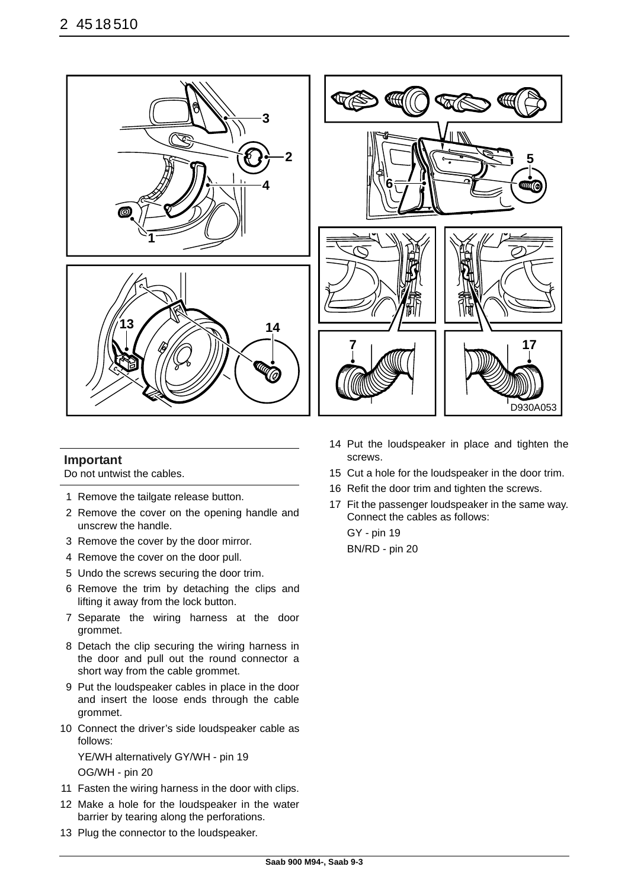



#### **Important**

Do not untwist the cables.

- 1 Remove the tailgate release button.
- 2 Remove the cover on the opening handle and unscrew the handle.
- 3 Remove the cover by the door mirror.
- 4 Remove the cover on the door pull.
- 5 Undo the screws securing the door trim.
- 6 Remove the trim by detaching the clips and lifting it away from the lock button.
- 7 Separate the wiring harness at the door grommet.
- 8 Detach the clip securing the wiring harness in the door and pull out the round connector a short way from the cable grommet.
- 9 Put the loudspeaker cables in place in the door and insert the loose ends through the cable grommet.
- 10 Connect the driver's side loudspeaker cable as follows:

YE/WH alternatively GY/WH - pin 19 OG/WH - pin 20

- 11 Fasten the wiring harness in the door with clips.
- 12 Make a hole for the loudspeaker in the water barrier by tearing along the perforations.
- 13 Plug the connector to the loudspeaker.
- 14 Put the loudspeaker in place and tighten the screws.
- 15 Cut a hole for the loudspeaker in the door trim.
- 16 Refit the door trim and tighten the screws.
- 17 Fit the passenger loudspeaker in the same way. Connect the cables as follows:
	- GY pin 19 BN/RD - pin 20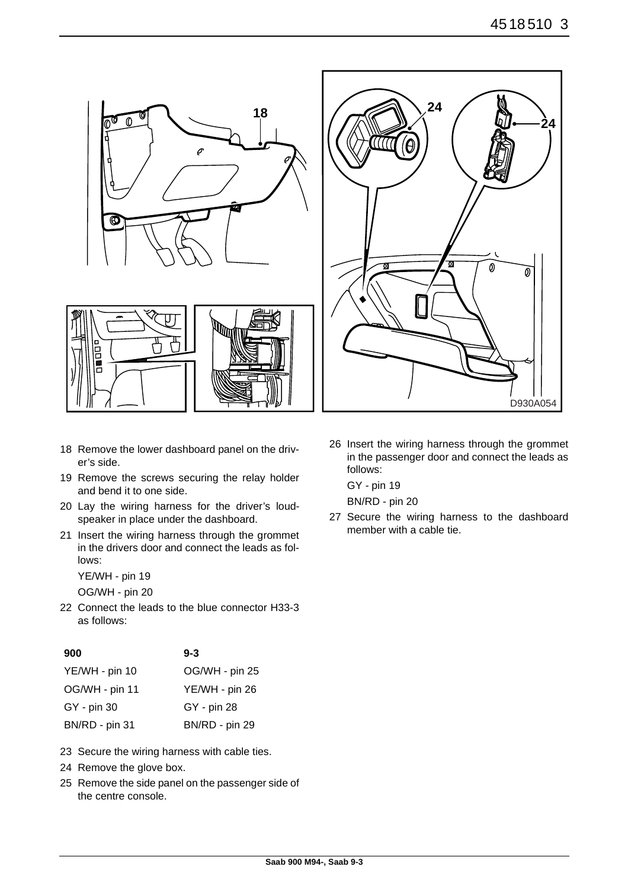

- 18 Remove the lower dashboard panel on the driver's side.
- 19 Remove the screws securing the relay holder and bend it to one side.
- 20 Lay the wiring harness for the driver's loudspeaker in place under the dashboard.
- 21 Insert the wiring harness through the grommet in the drivers door and connect the leads as follows:

YE/WH - pin 19

OG/WH - pin 20

22 Connect the leads to the blue connector H33-3 as follows:

| $9 - 3$        |
|----------------|
| OG/WH - pin 25 |
| YE/WH - pin 26 |
| GY - pin 28    |
| BN/RD - pin 29 |
|                |

- 23 Secure the wiring harness with cable ties.
- 24 Remove the glove box.
- 25 Remove the side panel on the passenger side of the centre console.

26 Insert the wiring harness through the grommet in the passenger door and connect the leads as follows:

GY - pin 19

BN/RD - pin 20

27 Secure the wiring harness to the dashboard member with a cable tie.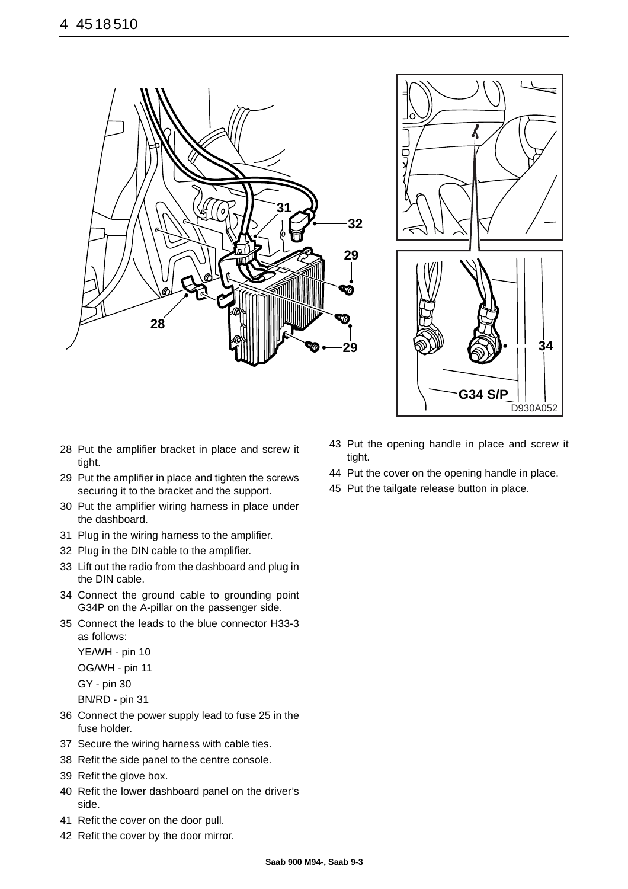



- 28 Put the amplifier bracket in place and screw it tight.
- 29 Put the amplifier in place and tighten the screws securing it to the bracket and the support.
- 30 Put the amplifier wiring harness in place under the dashboard.
- 31 Plug in the wiring harness to the amplifier.
- 32 Plug in the DIN cable to the amplifier.
- 33 Lift out the radio from the dashboard and plug in the DIN cable.
- 34 Connect the ground cable to grounding point G34P on the A-pillar on the passenger side.
- 35 Connect the leads to the blue connector H33-3 as follows:
	- YE/WH pin 10 OG/WH - pin 11
	- GY pin 30
	- BN/RD pin 31
- 36 Connect the power supply lead to fuse 25 in the fuse holder.
- 37 Secure the wiring harness with cable ties.
- 38 Refit the side panel to the centre console.
- 39 Refit the glove box.
- 40 Refit the lower dashboard panel on the driver's side.
- 41 Refit the cover on the door pull.
- 42 Refit the cover by the door mirror.
- 43 Put the opening handle in place and screw it tight.
- 44 Put the cover on the opening handle in place.
- 45 Put the tailgate release button in place.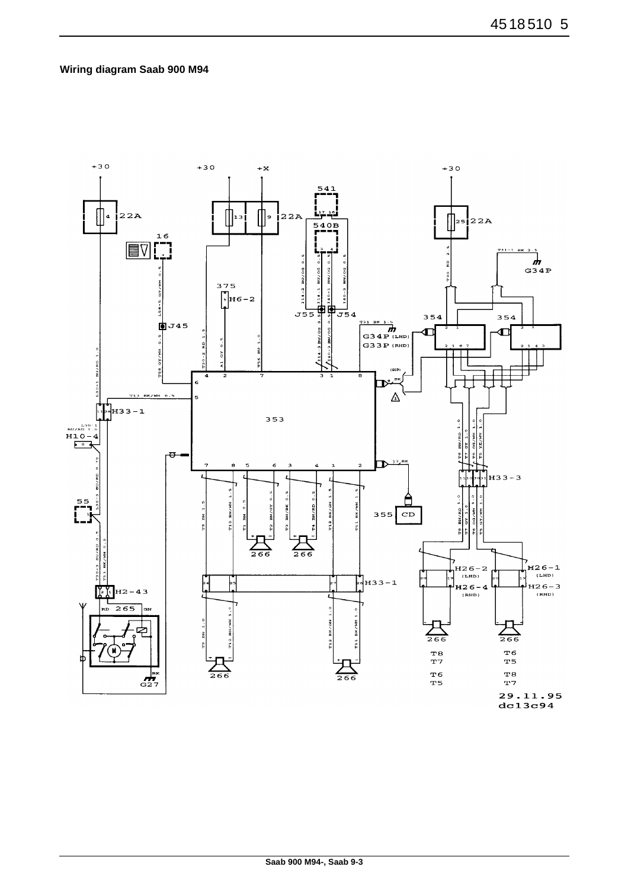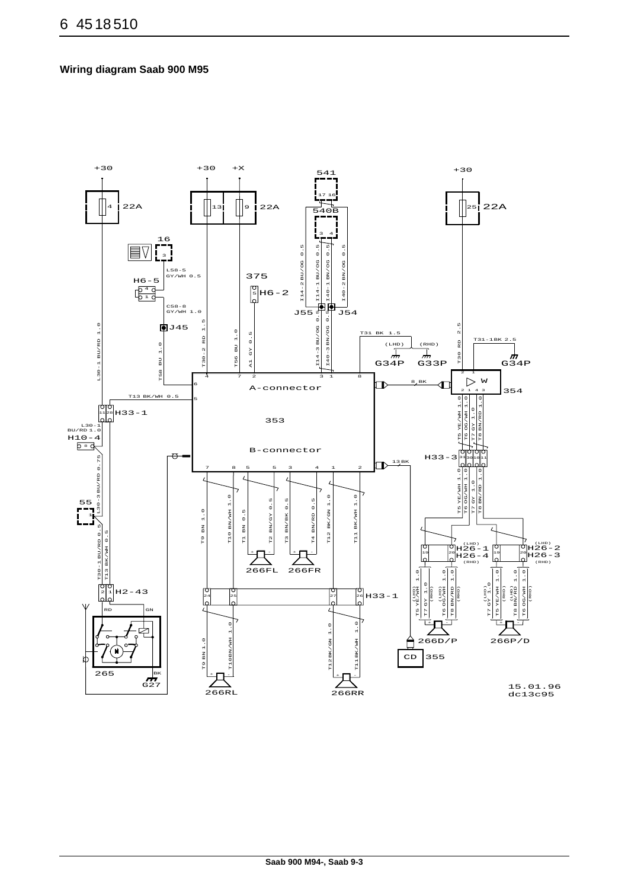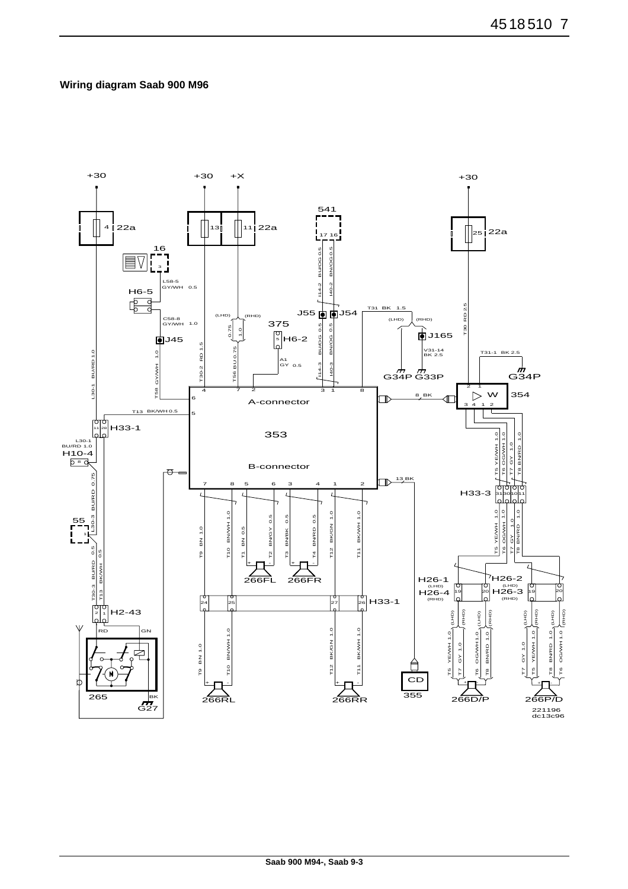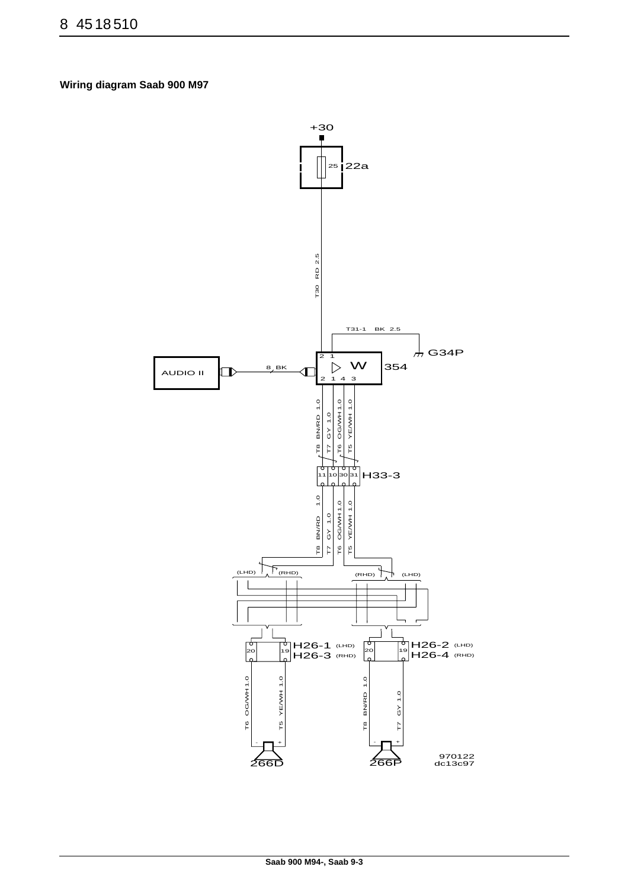